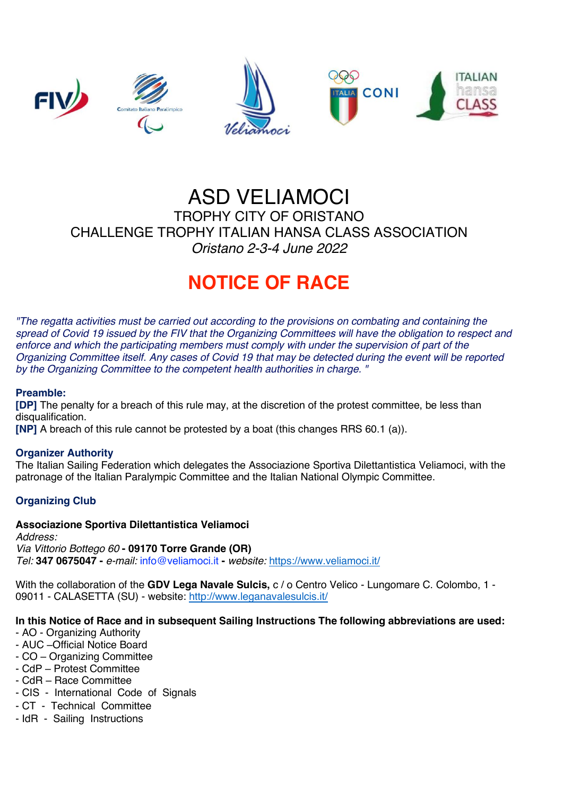

# ASD VELIAMOCI TROPHY CITY OF ORISTANO CHALLENGE TROPHY ITALIAN HANSA CLASS ASSOCIATION *Oristano 2-3-4 June 2022*

# **NOTICE OF RACE**

*"The regatta activities must be carried out according to the provisions on combating and containing the spread of Covid 19 issued by the FIV that the Organizing Committees will have the obligation to respect and enforce and which the participating members must comply with under the supervision of part of the Organizing Committee itself. Any cases of Covid 19 that may be detected during the event will be reported by the Organizing Committee to the competent health authorities in charge. "*

#### **Preamble:**

**[DP]** The penalty for a breach of this rule may, at the discretion of the protest committee, be less than disqualification.

**[NP]** A breach of this rule cannot be protested by a boat (this changes RRS 60.1 (a)).

#### **Organizer Authority**

The Italian Sailing Federation which delegates the Associazione Sportiva Dilettantistica Veliamoci, with the patronage of the Italian Paralympic Committee and the Italian National Olympic Committee.

#### **Organizing Club**

#### **Associazione Sportiva Dilettantistica Veliamoci**

*Address: Via Vittorio Bottego 60* **- 09170 Torre Grande (OR)** *Tel:* **347 0675047 -** *e-mail:* info@veliamoci.it **-** *website:* https://www.veliamoci.it/

With the collaboration of the **GDV Lega Navale Sulcis,** c / o Centro Velico - Lungomare C. Colombo, 1 - 09011 - CALASETTA (SU) - website: http://www.leganavalesulcis.it/

#### **In this Notice of Race and in subsequent Sailing Instructions The following abbreviations are used:**

- AO Organizing Authority
- AUC –Official Notice Board
- CO Organizing Committee
- CdP Protest Committee
- CdR Race Committee
- CIS International Code of Signals
- CT Technical Committee
- IdR Sailing Instructions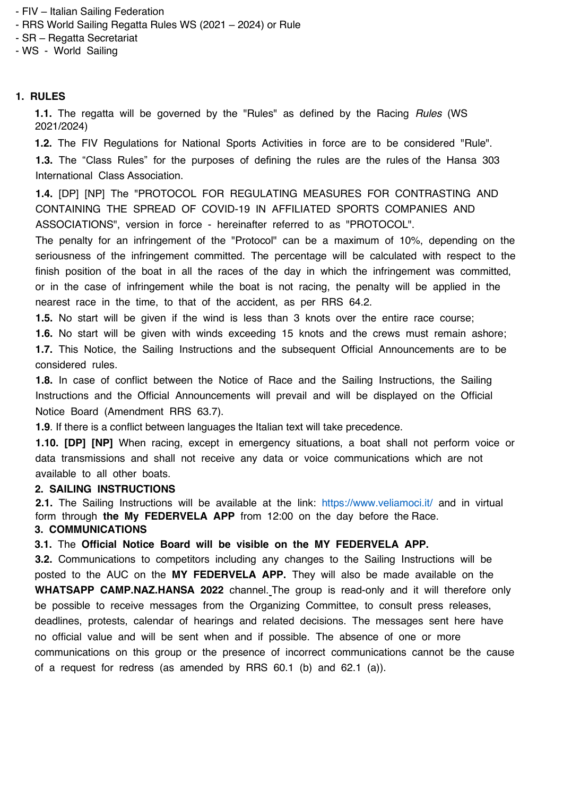- FIV Italian Sailing Federation
- RRS World Sailing Regatta Rules WS (2021 2024) or Rule
- SR Regatta Secretariat
- WS World Sailing

#### **1. RULES**

**1.1.** The regatta will be governed by the "Rules" as defined by the Racing *Rules* (WS 2021/2024)

**1.2.** The FIV Regulations for National Sports Activities in force are to be considered "Rule".

**1.3.** The "Class Rules" for the purposes of defining the rules are the rules of the Hansa 303 International Class Association.

**1.4.** [DP] [NP] The "PROTOCOL FOR REGULATING MEASURES FOR CONTRASTING AND CONTAINING THE SPREAD OF COVID-19 IN AFFILIATED SPORTS COMPANIES AND ASSOCIATIONS", version in force - hereinafter referred to as "PROTOCOL".

The penalty for an infringement of the "Protocol" can be a maximum of 10%, depending on the seriousness of the infringement committed. The percentage will be calculated with respect to the finish position of the boat in all the races of the day in which the infringement was committed, or in the case of infringement while the boat is not racing, the penalty will be applied in the nearest race in the time, to that of the accident, as per RRS 64.2.

**1.5.** No start will be given if the wind is less than 3 knots over the entire race course;

**1.6.** No start will be given with winds exceeding 15 knots and the crews must remain ashore; **1.7.** This Notice, the Sailing Instructions and the subsequent Official Announcements are to be considered rules.

**1.8.** In case of conflict between the Notice of Race and the Sailing Instructions, the Sailing Instructions and the Official Announcements will prevail and will be displayed on the Official Notice Board (Amendment RRS 63.7).

**1.9**. If there is a conflict between languages the Italian text will take precedence.

**1.10. [DP] [NP]** When racing, except in emergency situations, a boat shall not perform voice or data transmissions and shall not receive any data or voice communications which are not available to all other boats.

#### **2. SAILING INSTRUCTIONS**

**2.1.** The Sailing Instructions will be available at the link: https://www.veliamoci.it/ and in virtual form through **the My FEDERVELA APP** from 12:00 on the day before the Race. **3. COMMUNICATIONS** 

**3.1.** The **Official Notice Board will be visible on the MY FEDERVELA APP.**

**3.2.** Communications to competitors including any changes to the Sailing Instructions will be posted to the AUC on the **MY FEDERVELA APP.** They will also be made available on the **WHATSAPP CAMP.NAZ.HANSA 2022** channel. The group is read-only and it will therefore only be possible to receive messages from the Organizing Committee, to consult press releases, deadlines, protests, calendar of hearings and related decisions. The messages sent here have no official value and will be sent when and if possible. The absence of one or more communications on this group or the presence of incorrect communications cannot be the cause of a request for redress (as amended by RRS 60.1 (b) and 62.1 (a)).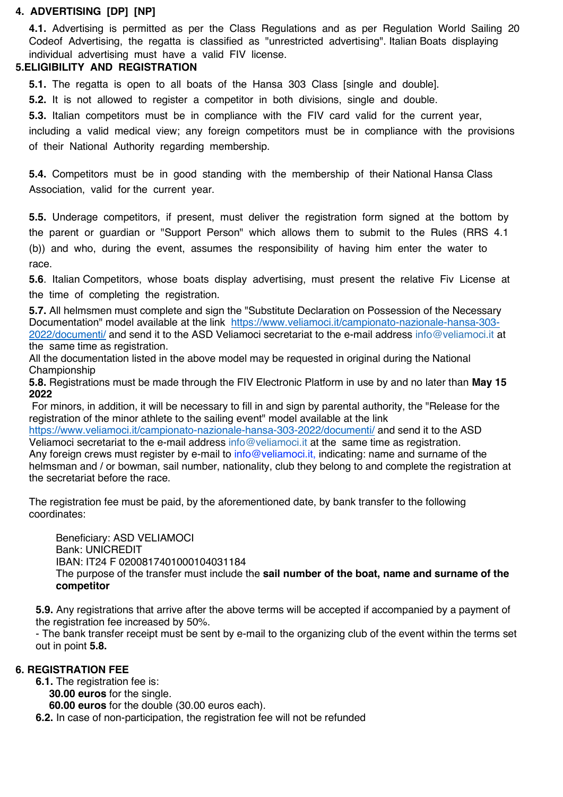#### **4. ADVERTISING [DP] [NP]**

**4.1.** Advertising is permitted as per the Class Regulations and as per Regulation World Sailing 20 Codeof Advertising, the regatta is classified as "unrestricted advertising". Italian Boats displaying individual advertising must have a valid FIV license.

#### **5.ELIGIBILITY AND REGISTRATION**

**5.1.** The regatta is open to all boats of the Hansa 303 Class [single and double].

**5.2.** It is not allowed to register a competitor in both divisions, single and double.

**5.3.** Italian competitors must be in compliance with the FIV card valid for the current year,

including a valid medical view; any foreign competitors must be in compliance with the provisions of their National Authority regarding membership.

**5.4.** Competitors must be in good standing with the membership of their National Hansa Class Association, valid for the current year.

**5.5.** Underage competitors, if present, must deliver the registration form signed at the bottom by the parent or guardian or "Support Person" which allows them to submit to the Rules (RRS 4.1 (b)) and who, during the event, assumes the responsibility of having him enter the water to race.

**5.6**. Italian Competitors, whose boats display advertising, must present the relative Fiv License at the time of completing the registration.

**5.7.** All helmsmen must complete and sign the "Substitute Declaration on Possession of the Necessary Documentation" model available at the link https://www.veliamoci.it/campionato-nazionale-hansa-303- 2022/documenti/ and send it to the ASD Veliamoci secretariat to the e-mail address info@veliamoci.it at the same time as registration.

All the documentation listed in the above model may be requested in original during the National Championship

**5.8.** Registrations must be made through the FIV Electronic Platform in use by and no later than **May 15 2022**

For minors, in addition, it will be necessary to fill in and sign by parental authority, the "Release for the registration of the minor athlete to the sailing event" model available at the link

https://www.veliamoci.it/campionato-nazionale-hansa-303-2022/documenti/ and send it to the ASD Veliamoci secretariat to the e-mail address info@veliamoci.it at the same time as registration. Any foreign crews must register by e-mail to info@veliamoci.it, indicating: name and surname of the helmsman and / or bowman, sail number, nationality, club they belong to and complete the registration at the secretariat before the race.

The registration fee must be paid, by the aforementioned date, by bank transfer to the following coordinates:

Beneficiary: ASD VELIAMOCI Bank: UNICREDIT IBAN: IT24 F 0200817401000104031184 The purpose of the transfer must include the **sail number of the boat, name and surname of the competitor** 

**5.9.** Any registrations that arrive after the above terms will be accepted if accompanied by a payment of the registration fee increased by 50%.

- The bank transfer receipt must be sent by e-mail to the organizing club of the event within the terms set out in point **5.8.**

#### **6. REGISTRATION FEE**

- **6.1.** The registration fee is:
	- **30.00 euros** for the single.

**60.00 euros** for the double (30.00 euros each).

**6.2.** In case of non-participation, the registration fee will not be refunded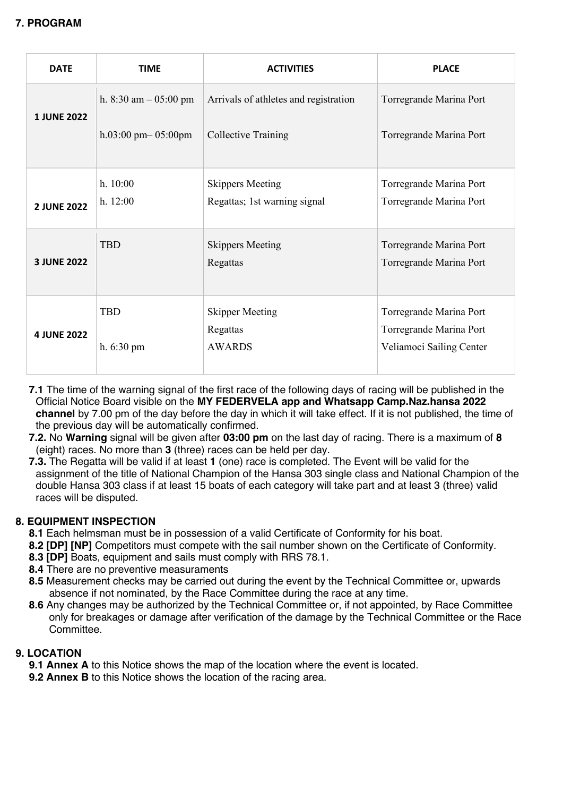| <b>DATE</b>        | <b>TIME</b>             | <b>ACTIVITIES</b>                     | <b>PLACE</b>             |
|--------------------|-------------------------|---------------------------------------|--------------------------|
| <b>1 JUNE 2022</b> | h. 8:30 am $-$ 05:00 pm | Arrivals of athletes and registration | Torregrande Marina Port  |
|                    | h.03:00 pm $-$ 05:00pm  | Collective Training                   | Torregrande Marina Port  |
|                    | h. 10:00                | <b>Skippers Meeting</b>               | Torregrande Marina Port  |
| <b>2 JUNE 2022</b> | h. 12:00                | Regattas; 1st warning signal          | Torregrande Marina Port  |
|                    | <b>TBD</b>              | <b>Skippers Meeting</b>               | Torregrande Marina Port  |
| <b>3 JUNE 2022</b> |                         | Regattas                              | Torregrande Marina Port  |
| <b>4 JUNE 2022</b> | <b>TBD</b>              | <b>Skipper Meeting</b>                | Torregrande Marina Port  |
|                    |                         | Regattas                              | Torregrande Marina Port  |
|                    | $h. 6:30 \text{ pm}$    | <b>AWARDS</b>                         | Veliamoci Sailing Center |

- **7.1** The time of the warning signal of the first race of the following days of racing will be published in the Official Notice Board visible on the **MY FEDERVELA app and Whatsapp Camp.Naz.hansa 2022 channel** by 7.00 pm of the day before the day in which it will take effect. If it is not published, the time of the previous day will be automatically confirmed.
- **7.2.** No **Warning** signal will be given after **03:00 pm** on the last day of racing. There is a maximum of **8**  (eight) races. No more than **3** (three) races can be held per day.
- **7.3.** The Regatta will be valid if at least **1** (one) race is completed. The Event will be valid for the assignment of the title of National Champion of the Hansa 303 single class and National Champion of the double Hansa 303 class if at least 15 boats of each category will take part and at least 3 (three) valid races will be disputed.

### **8. EQUIPMENT INSPECTION**

- **8.1** Each helmsman must be in possession of a valid Certificate of Conformity for his boat.
- **8.2 [DP] [NP]** Competitors must compete with the sail number shown on the Certificate of Conformity.
- **8.3 [DP]** Boats, equipment and sails must comply with RRS 78.1.
- **8.4** There are no preventive measuraments
- **8.5** Measurement checks may be carried out during the event by the Technical Committee or, upwards absence if not nominated, by the Race Committee during the race at any time.
- **8.6** Any changes may be authorized by the Technical Committee or, if not appointed, by Race Committee only for breakages or damage after verification of the damage by the Technical Committee or the Race Committee.

#### **9. LOCATION**

**9.1 Annex A** to this Notice shows the map of the location where the event is located.

**9.2 Annex B** to this Notice shows the location of the racing area.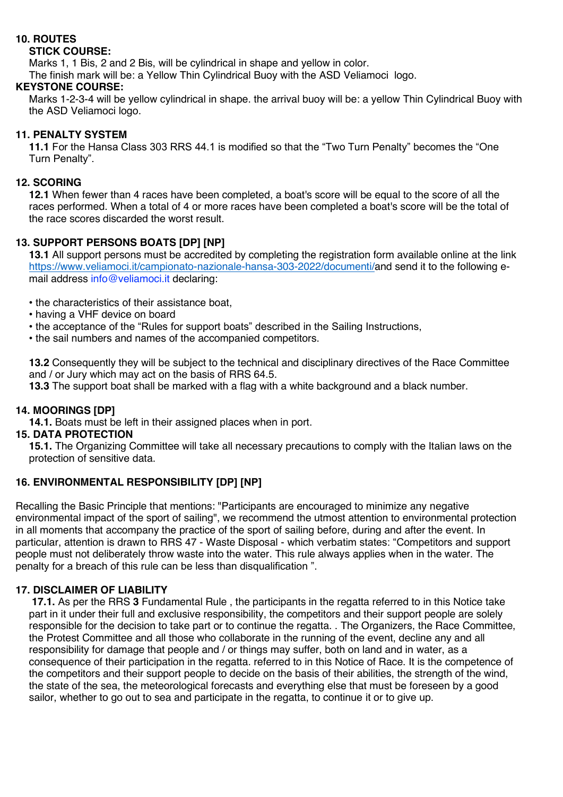## **10. ROUTES**

#### **STICK COURSE:**

Marks 1, 1 Bis, 2 and 2 Bis, will be cylindrical in shape and yellow in color.

The finish mark will be: a Yellow Thin Cylindrical Buoy with the ASD Veliamoci logo.

#### **KEYSTONE COURSE:**

Marks 1-2-3-4 will be yellow cylindrical in shape. the arrival buoy will be: a yellow Thin Cylindrical Buoy with the ASD Veliamoci logo.

#### **11. PENALTY SYSTEM**

**11.1** For the Hansa Class 303 RRS 44.1 is modified so that the "Two Turn Penalty" becomes the "One Turn Penalty".

#### **12. SCORING**

**12.1** When fewer than 4 races have been completed, a boat's score will be equal to the score of all the races performed. When a total of 4 or more races have been completed a boat's score will be the total of the race scores discarded the worst result.

#### **13. SUPPORT PERSONS BOATS [DP] [NP]**

**13.1** All support persons must be accredited by completing the registration form available online at the link https://www.veliamoci.it/campionato-nazionale-hansa-303-2022/documenti/and send it to the following email address info@veliamoci.it declaring:

• the characteristics of their assistance boat,

- having a VHF device on board
- the acceptance of the "Rules for support boats" described in the Sailing Instructions,
- the sail numbers and names of the accompanied competitors.

**13.2** Consequently they will be subject to the technical and disciplinary directives of the Race Committee and / or Jury which may act on the basis of RRS 64.5.

**13.3** The support boat shall be marked with a flag with a white background and a black number.

#### **14. MOORINGS [DP]**

**14.1.** Boats must be left in their assigned places when in port.

#### **15. DATA PROTECTION**

**15.1.** The Organizing Committee will take all necessary precautions to comply with the Italian laws on the protection of sensitive data.

#### **16. ENVIRONMENTAL RESPONSIBILITY [DP] [NP]**

Recalling the Basic Principle that mentions: "Participants are encouraged to minimize any negative environmental impact of the sport of sailing", we recommend the utmost attention to environmental protection in all moments that accompany the practice of the sport of sailing before, during and after the event. In particular, attention is drawn to RRS 47 - Waste Disposal - which verbatim states: "Competitors and support people must not deliberately throw waste into the water. This rule always applies when in the water. The penalty for a breach of this rule can be less than disqualification ".

#### **17. DISCLAIMER OF LIABILITY**

**17.1.** As per the RRS **3** Fundamental Rule , the participants in the regatta referred to in this Notice take part in it under their full and exclusive responsibility, the competitors and their support people are solely responsible for the decision to take part or to continue the regatta. . The Organizers, the Race Committee, the Protest Committee and all those who collaborate in the running of the event, decline any and all responsibility for damage that people and / or things may suffer, both on land and in water, as a consequence of their participation in the regatta. referred to in this Notice of Race. It is the competence of the competitors and their support people to decide on the basis of their abilities, the strength of the wind, the state of the sea, the meteorological forecasts and everything else that must be foreseen by a good sailor, whether to go out to sea and participate in the regatta, to continue it or to give up.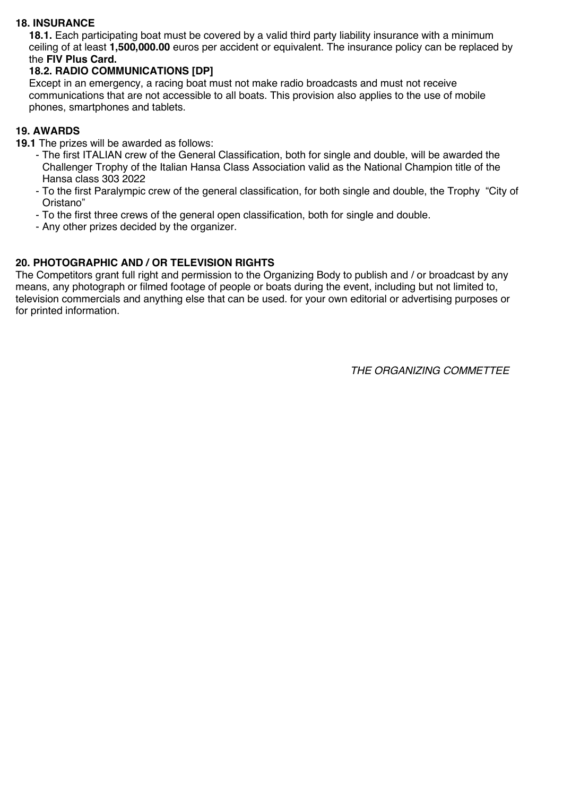#### **18. INSURANCE**

**18.1.** Each participating boat must be covered by a valid third party liability insurance with a minimum ceiling of at least **1,500,000.00** euros per accident or equivalent. The insurance policy can be replaced by the **FIV Plus Card.**

#### **18.2. RADIO COMMUNICATIONS [DP]**

Except in an emergency, a racing boat must not make radio broadcasts and must not receive communications that are not accessible to all boats. This provision also applies to the use of mobile phones, smartphones and tablets.

#### **19. AWARDS**

- **19.1** The prizes will be awarded as follows:
	- The first ITALIAN crew of the General Classification, both for single and double, will be awarded the Challenger Trophy of the Italian Hansa Class Association valid as the National Champion title of the Hansa class 303 2022
	- To the first Paralympic crew of the general classification, for both single and double, the Trophy "City of Oristano"
	- To the first three crews of the general open classification, both for single and double.
	- Any other prizes decided by the organizer.

#### **20. PHOTOGRAPHIC AND / OR TELEVISION RIGHTS**

The Competitors grant full right and permission to the Organizing Body to publish and / or broadcast by any means, any photograph or filmed footage of people or boats during the event, including but not limited to, television commercials and anything else that can be used. for your own editorial or advertising purposes or for printed information.

*THE ORGANIZING COMMETTEE*